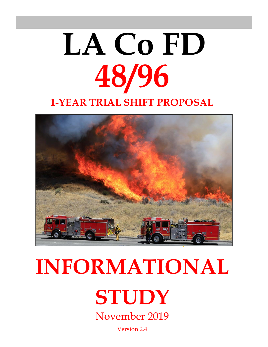# **48/96 LA Co FD 1-YEAR TRIAL SHIFT PROPOSAL**



## **INFORMATIONAL**

**STUDY**

November 2019

Version 2.4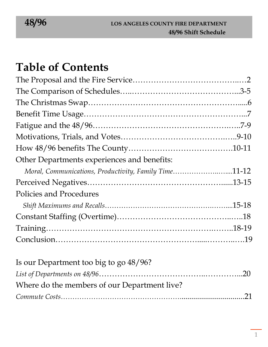## **Table of Contents**

| Other Departments experiences and benefits:           |  |
|-------------------------------------------------------|--|
| Moral, Communications, Productivity, Family Time11-12 |  |
|                                                       |  |
| Policies and Procedures                               |  |
|                                                       |  |
|                                                       |  |
|                                                       |  |
|                                                       |  |
|                                                       |  |

| Is our Department too big to go 48/96?       |  |
|----------------------------------------------|--|
|                                              |  |
| Where do the members of our Department live? |  |
|                                              |  |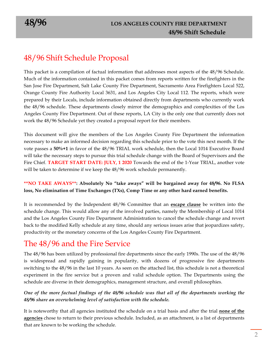## 48/96 Shift Schedule Proposal

This packet is a compilation of factual information that addresses most aspects of the 48/96 Schedule. Much of the information contained in this packet comes from reports written for the firefighters in the San Jose Fire Department, Salt Lake County Fire Department, Sacramento Area Firefighters Local 522, Orange County Fire Authority Local 3631, and Los Angeles City Local 112. The reports, which were prepared by their Locals, include information obtained directly from departments who currently work the 48/96 schedule. These departments closely mirror the demographics and complexities of the Los Angeles County Fire Department. Out of these reports, LA City is the only one that currently does not work the 48/96 Schedule yet they created a proposal report for their members.

This document will give the members of the Los Angeles County Fire Department the information necessary to make an informed decision regarding this schedule prior to the vote this next month. If the vote passes a **50%+1** in favor of the 48/96 TRIAL work schedule, then the Local 1014 Executive Board will take the necessary steps to pursue this trial schedule change with the Board of Supervisors and the Fire Chief. **TARGET START DATE: JULY, 1 2020** Towards the end of the 1-Year TRIAL, another vote will be taken to determine if we keep the 48/96 work schedule permanently.

#### **\*\*NO TAKE AWAYS\*\*: Absolutely No "take aways" will be bargained away for 48/96. No FLSA loss, No elimination of Time Exchanges (TXs), Comp Time or any other hard earned benefits.**

It is recommended by the Independent 48/96 Committee that an **escape clause** be written into the schedule change. This would allow any of the involved parties, namely the Membership of Local 1014 and the Los Angeles County Fire Department Administration to cancel the schedule change and revert back to the modified Kelly schedule at any time, should any serious issues arise that jeopardizes safety, productivity or the monetary concerns of the Los Angeles County Fire Department.

## The 48/96 and the Fire Service

The 48/96 has been utilized by professional fire departments since the early 1990s. The use of the 48/96 is widespread and rapidly gaining in popularity, with dozens of progressive fire departments switching to the 48/96 in the last 10 years. As seen on the attached list, this schedule is not a theoretical experiment in the fire service but a proven and valid schedule option. The Departments using the schedule are diverse in their demographics, management structure, and overall philosophies.

#### *One of the more factual findings of the 48/96 schedule was that all of the departments working the 48/96 share an overwhelming level of satisfaction with the schedule.*

It is noteworthy that all agencies instituted the schedule on a trial basis and after the trial **none of the agencies** chose to return to their previous schedule. Included, as an attachment, is a list of departments that are known to be working the schedule.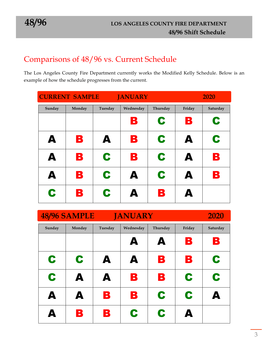## Comparisons of 48/96 vs. Current Schedule

The Los Angeles County Fire Department currently works the Modified Kelly Schedule. Below is an example of how the schedule progresses from the current.

| <b>CURRENT SAMPLE</b><br><b>JANUARY</b> |        |         |                  |          |                  | 2020     |
|-----------------------------------------|--------|---------|------------------|----------|------------------|----------|
| Sunday                                  | Monday | Tuesday | Wednesday        | Thursday | Friday           | Saturday |
|                                         |        |         | B                | C        | B                | C        |
| A                                       | B      | A       | В                | C        | A                | C        |
| A                                       | B      | C       | B                | C        | A                | B        |
| A                                       | B      | C       | A                | C        | A                | В        |
| C                                       | B      | C       | $\blacktriangle$ | В        | $\blacktriangle$ |          |

| <b>48/96 SAMPLE</b><br><b>JANUARY</b> |        |         |           |          |        | 2020     |
|---------------------------------------|--------|---------|-----------|----------|--------|----------|
| Sunday                                | Monday | Tuesday | Wednesday | Thursday | Friday | Saturday |
|                                       |        |         | A         | A        | B      | В        |
| C                                     | C      | A       | A         | В        | B      | C        |
| C                                     | A      | A       | B         | B        | C      | C        |
| A                                     | A      | В       | В         | C        | C      | A        |
| Δ                                     | B      | В       | C         | C        | A      |          |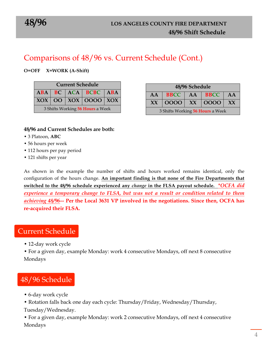## Comparisons of 48/96 vs. Current Schedule (Cont.)

#### **O=OFF X=WORK (A-Shift)**

| <b>Current Schedule</b>          |                               |  |                                          |  |  |  |  |  |  |
|----------------------------------|-------------------------------|--|------------------------------------------|--|--|--|--|--|--|
|                                  | $ABA$ $BC$ $ACA$ $BCBC$ $ABA$ |  |                                          |  |  |  |  |  |  |
|                                  |                               |  | $\overline{XOX}$   OO   XOX   OOOO   XOX |  |  |  |  |  |  |
| 3 Shifts Working 56 Hours a Week |                               |  |                                          |  |  |  |  |  |  |

| 48/96 Schedule                             |  |  |  |  |  |  |  |
|--------------------------------------------|--|--|--|--|--|--|--|
| <b>BBCC</b>  <br>$AA$   BBCC  <br>AA<br>AA |  |  |  |  |  |  |  |
| $ 0000 $ XX $ 0000 $ XX<br>XX.             |  |  |  |  |  |  |  |
| 3 Shifts Working 56 Hours a Week           |  |  |  |  |  |  |  |

#### **48/96 and Current Schedules are both:**

- 3 Platoon, **ABC**
- 56 hours per week
- 112 hours per pay period
- 121 shifts per year

As shown in the example the number of shifts and hours worked remains identical, only the configuration of the hours change. **An important finding is that none of the Fire Departments that switched to the 48/96 schedule experienced any** *change* **in the FLSA payout schedule.** *\*OCFA did experience a temporary change to FLSA, but was not a result or condition related to them achieving 48/96--* **Per the Local 3631 VP involved in the negotiations. Since then, OCFA has re-acquired their FLSA.**

#### Current Schedule

• 12-day work cycle

• For a given day, example Monday: work 4 consecutive Mondays, off next 8 consecutive Mondays

## 48/96 Schedule

- 6-day work cycle
- Rotation falls back one day each cycle: Thursday/Friday, Wednesday/Thursday,
- Tuesday/Wednesday.

• For a given day, example Monday: work 2 consecutive Mondays, off next 4 consecutive Mondays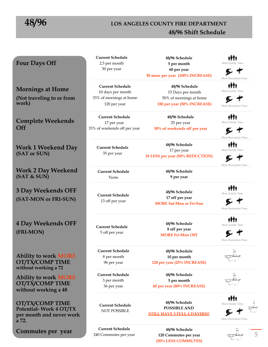## **48/96 LOS ANGELES COUNTY FIRE DEPARTMENT 48/96 Shift Schedule**

#### **Four Days Off**

**Mornings at Home (Not traveling to or from work)** 

**Complete Weekends Off** 

**Work 1 Weekend Day (SAT or SUN)** 

**Work 2 Day Weekend (SAT & SUN)** 

**3 Day Weekends OFF (SAT-MON or FRI-SUN)** 

**4 Day Weekends OFF (FRI-MON)** 

**Ability to work MORE OT/TX/COMP TIME without working a 72** 

**Ability to work MORE OT/TX/COMP TIME without working a 48** 

**OT/TX/COMP TIME Potential- Work 4 OT/TX per month and never work a 72.** 

**Commutes per year** 

**Current Schedule**  2.5 per month 30 per year

**Current Schedule**  10 days per month 33% of mornings at home 120 per year

**Current Schedule**  17 per year 33% of weekends off per year

> **Current Schedule**  35 per year

**Current Schedule**  None

**Current Schedule**  13 off per year

**Current Schedule**  5 off per year

**Current Schedule**  8 per month 96 per year

**Current Schedule**  3 per month 36 per year

**Current Schedule**  240 Commutes per year

**Current Schedule**  NOT POSSIBLE

**48/96 Schedule 5 per month 60 per year 30 more per year (100% INCREASE)** 

> **48/96 Schedule**  15 Days per month 50% of mornings at home **180 per year (50% INCREASE)**

**48/96 Schedule**  25 per year **50% of weekends off per year** 

**48/96 Schedule**  17 per year **18 LESS per year (50% REDUCTION)** 

> **48/96 Schedule 9 per year**

**48/96 Schedule 17 off per year MORE Sat-Mon or Fri-Sun**

> **48/96 Schedule 8 off per year MORE Fri-Mon OFF**

**48/96 Schedule 10 per month 120 per year (25% INCREASE)**

**48/96 Schedule 5 per month 60 per year (80% INCREASE)** 

**48/96 Schedule POSSIBLE AND STILL HAVE 3 FULL 4 DAYERS!!** 

> **48/96 Schedule 120 Commutes per year (50% LESS COMMUTES)**





₫Φ₫ More Family Time

E 1 More Recreation Time

ቆቅቑቀ More Family Time

ឃ More Recreation Time

秤軸 More Family Time

⊾ More Recreation Time

种种 More Family Time

€ † More Recreation Time

i∯≬ More Family Time

► More Recreation Time







More Recreation Time

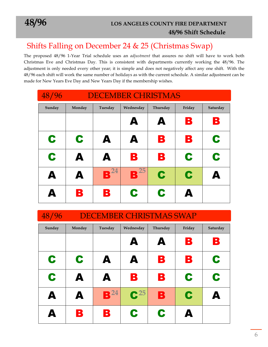#### $P^2$ Shifts Falling on December 24 & 25 (Christmas Swap)

The proposed 48/96 1-Year Trial schedule uses an *adjustment* that assures no shift will have to work both Christmas Eve and Christmas Day. This is consistent with departments currently working the 48/96. The adjustment is only needed every other year; it is simple and does not negatively affect any one shift. With the 48/96 each shift will work the same number of holidays as with the current schedule. A similar adjustment can be made for New Years Eve Day and New Years Day if the membership wishes.

| 48/96  | <b>DECEMBER CHRISTMAS</b> |                                        |           |          |        |          |  |
|--------|---------------------------|----------------------------------------|-----------|----------|--------|----------|--|
| Sunday | Monday                    | Tuesday                                | Wednesday | Thursday | Friday | Saturday |  |
|        |                           |                                        | A         | A        | В      | В        |  |
| C      | C                         | A                                      | A         | B        | B      | C        |  |
| C      | A                         | A                                      | В         | В        | C      | C        |  |
| A      | A                         | 24<br>$\blacksquare$<br>$\blacksquare$ | 25<br>B   | C        | C      | Д        |  |
| Δ      | B                         | B                                      | C         | C        | Д      |          |  |

| 48/96  | <b>DECEMBER CHRISTMAS SWAP</b> |                 |                   |          |        |          |
|--------|--------------------------------|-----------------|-------------------|----------|--------|----------|
| Sunday | Monday                         | Tuesday         | Wednesday         | Thursday | Friday | Saturday |
|        |                                |                 | A                 | A        | В      | В        |
| C      | C                              | A               | A                 | В        | B      | C        |
| C      | A                              | A               | В                 | В        | C      | C        |
| A      | A                              | B <sup>24</sup> | $\mathbf{C}^{25}$ | B        | C      | А        |
| Δ      | В                              | B               | C                 | C        |        |          |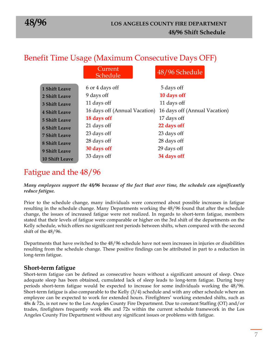|                       | Benefit Time Usage (Maximum Consecutive Days OFF) |                               |
|-----------------------|---------------------------------------------------|-------------------------------|
|                       | Current<br>Schedule                               | 48/96 Schedule                |
| <b>1 Shift Leave</b>  | 6 or 4 days off                                   | 5 days off                    |
| 2 Shift Leave         | 9 days off                                        | 10 days off                   |
| <b>3 Shift Leave</b>  | 11 days off                                       | 11 days off                   |
| <b>4 Shift Leave</b>  | 16 days off (Annual Vacation)                     | 16 days off (Annual Vacation) |
| <b>5 Shift Leave</b>  | 18 days off                                       | 17 days off                   |
| <b>6 Shift Leave</b>  | 21 days off                                       | 22 days off                   |
| <b>7 Shift Leave</b>  | 23 days off                                       | 23 days off                   |
| <b>8 Shift Leave</b>  | 28 days off                                       | 28 days off                   |
| <b>9 Shift Leave</b>  | 30 days off                                       | 29 days off                   |
| <b>10 Shift Leave</b> | 33 days off                                       | 34 days off                   |

## Fatigue and the 48/96

#### *Many employees support the 48/96 because of the fact that over time, the schedule can significantly reduce fatigue.*

Prior to the schedule change, many individuals were concerned about possible increases in fatigue resulting in the schedule change. Many Departments working the 48/96 found that after the schedule change, the issues of increased fatigue were not realized. In regards to short-term fatigue, members stated that their levels of fatigue were comparable or higher on the 3rd shift of the departments on the Kelly schedule, which offers no significant rest periods between shifts, when compared with the second shift of the 48/96.

Departments that have switched to the 48/96 schedule have not seen increases in injuries or disabilities resulting from the schedule change. These positive findings can be attributed in part to a reduction in long-term fatigue.

#### **Short-term fatigue**

Short-term fatigue can be defined as consecutive hours without a significant amount of sleep. Once adequate sleep has been obtained, cumulated lack of sleep leads to long-term fatigue. During busy periods short-term fatigue would be expected to increase for some individuals working the 48/96. Short-term fatigue is also comparable to the Kelly (3/4) schedule and with any other schedule where an employee can be expected to work for extended hours. Firefighters' working extended shifts, such as 48s & 72s, is not new to the Los Angeles County Fire Department. Due to constant Staffing (OT) and/or trades, firefighters frequently work 48s and 72s within the current schedule framework in the Los Angeles County Fire Department without any significant issues or problems with fatigue.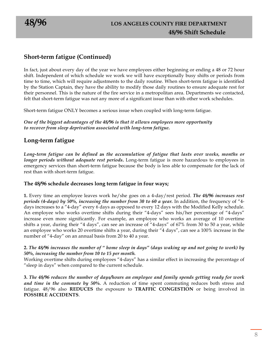#### **Short-term fatigue (Continued)**

In fact, just about every day of the year we have employees either beginning or ending a 48 or 72 hour shift. Independent of which schedule we work we will have exceptionally busy shifts or periods from time to time, which will require adjustments to the daily routine. When short-term fatigue is identified by the Station Captain, they have the ability to modify those daily routines to ensure adequate rest for their personnel. This is the nature of the fire service in a metropolitan area. Departments we contacted, felt that short-term fatigue was not any more of a significant issue than with other work schedules.

Short-term fatigue ONLY becomes a serious issue when coupled with long-term fatigue.

*One of the biggest advantages of the 48/96 is that it allows employees more opportunity to recover from sleep deprivation associated with long-term fatigue***.**

#### **Long-term fatigue**

*Long-term fatigue can be defined* **as** *the accumulation of fatigue that lasts over weeks, months or longer periods without adequate rest periods***.** Long-term fatigue is more hazardous to employees in emergency services than short-term fatigue because the body is less able to compensate for the lack of rest than with short-term fatigue.

#### **The 48/96 schedule decreases long term fatigue in four ways;**

**1.** Every time an employee leaves work he/she goes on a 4-day/rest period. *The 48/96 increases rest periods (4-days) by 50%, increasing the number from 30 to 60 a year.* In addition, the frequency of "4 days increases to a "4-day" every 6 days as opposed to every 12 days with the Modified Kelly schedule. An employee who works overtime shifts during their "4-days" sees his/her percentage of "4-days" increase even more significantly. For example, an employee who works an average of 10 overtime shifts a year, during their "4 days", can see an increase of "4-days" of 67% from 30 to 50 a year, while an employee who works 20 overtime shifts a year, during their "4 days", can see a 100% increase in the number of "4-day" on an annual basis from 20 to 40 a year.

#### **2.** *The 48/96 increases the number of " home sleep in days" (days waking up and not going to work) by 50%, increasing the number from 10 to 15 per month.*

Working overtime shifts during employees "4-days" has a similar effect in increasing the percentage of "sleep in days" when compared to the current schedule.

**3.** *The 48/96 reduces the number of days/hours an employee and family spends getting ready for work and time in the commute by 50%.* A reduction of time spent commuting reduces both stress and fatigue. 48/96 also **REDUCES** the exposure to **TRAFFIC CONGESTION** or being involved in **POSSIBLE ACCIDENTS**.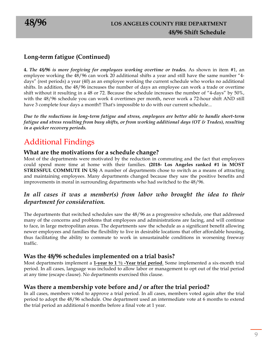#### **Long-term fatigue (Continued)**

**4.** *The 48/96 is more forgiving for employees working overtime or trades.* As shown in item #1, an employee working the 48/96 can work 20 additional shifts a year and still have the same number "4 days" (rest periods) a year (40) as an employee working the current schedule who works no additional shifts. In addition, the 48/96 increases the number of days an employee can work a trade or overtime shift without it resulting in a 48 or 72. Because the schedule increases the number of "4-days" by 50%, with the 48/96 schedule you can work 4 overtimes per month, never work a 72-hour shift AND still have 3 complete four days a month!! That's impossible to do with our current schedule...

*Due to the reductions in long-term fatigue and stress, employees are better able to handle short-term fatigue and stress resulting from busy shifts, or from working additional days (OT & Trades), resulting in a quicker recovery periods.*

## Additional Findings

#### **What are the motivations for a schedule change?**

Most of the departments were motivated by the reduction in commuting and the fact that employees could spend more time at home with their families. **(2018- Los Angeles ranked #1 in MOST STRESSFUL COMMUTE IN US)** A number of departments chose to switch as a means of attracting and maintaining employees. Many departments changed because they saw the positive benefits and improvements in moral in surrounding departments who had switched to the 48/96.

#### *In all cases it was a member(s) from labor who brought the idea to their department for consideration.*

The departments that switched schedules saw the 48/96 as a progressive schedule, one that addressed many of the concerns and problems that employees and administrations are facing, and will continue to face, in large metropolitan areas. The departments saw the schedule as a significant benefit allowing newer employees and families the flexibility to live in desirable locations that offer affordable housing, thus facilitating the ability to commute to work in unsustainable conditions in worsening freeway traffic.

#### **Was the 48/96 schedules implemented on a trial basis?**

Most departments implement a **1-year to 1 ½ -Year trial period**. Some implemented a six-month trial period. In all cases, language was included to allow labor or management to opt out of the trial period at any time (escape clause). No departments exercised this clause.

#### **Was there a membership vote before and / or after the trial period?**

In all cases, members voted to approve a trial period. In all cases, members voted again after the trial period to adopt the 48/96 schedule. One department used an intermediate vote at 6 months to extend the trial period an additional 6 months before a final vote at 1 year.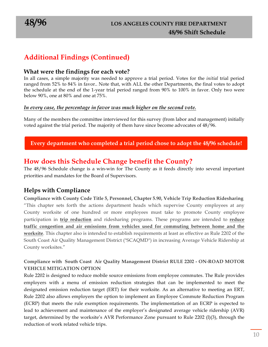### **Additional Findings (Continued)**

#### **What were the findings for each vote?**

In all cases, a simple majority was needed to approve a trial period. Votes for the *initial* trial period ranged from 52% to 84% in favor.. Note that, with ALL the other Departments, the final votes to adopt the schedule at the end of the 1-year trial period ranged from 90% to 100% in favor. Only two were below 90%, one at 80% and one at 75%.

#### *In every case, the percentage in favor was much higher on the second vote.*

Many of the members the committee interviewed for this survey (from labor and management) initially voted against the trial period. The majority of them have since become advocates of 48/96.

#### **Every department who completed a trial period chose to adopt the 48/96 schedule!**

#### **How does this Schedule Change benefit the County?**

The 48/96 Schedule change is a win-win for The County as it feeds directly into several important priorities and mandates for the Board of Supervisors.

#### **Helps with Compliance**

**Compliance with County Code Title 5, Personnel, Chapter 5.90, Vehicle Trip Reduction Ridesharing** "This chapter sets forth the actions department heads which supervise County employees at any County worksite of one hundred or more employees must take to promote County employee participation in **trip reduction** and ridesharing programs. These programs are intended to **reduce traffic congestion and air emissions from vehicles used for commuting between home and the worksite**. This chapter also is intended to establish requirements at least as effective as Rule 2202 of the South Coast Air Quality Management District ("SCAQMD") in increasing Average Vehicle Ridership at County worksites."

#### **Compliance with South Coast Air Quality Management District RULE 2202 - ON-ROAD MOTOR VEHICLE MITIGATION OPTION**

Rule 2202 is designed to reduce mobile source emissions from employee commutes. The Rule provides employers with a menu of emission reduction strategies that can be implemented to meet the designated emission reduction target (ERT) for their worksite. As an alternative to meeting an ERT, Rule 2202 also allows employers the option to implement an Employee Commute Reduction Program (ECRP) that meets the rule exemption requirements. The implementation of an ECRP is expected to lead to achievement and maintenance of the employer's designated average vehicle ridership (AVR) target, determined by the worksite's AVR Performance Zone pursuant to Rule 2202 (l)(3), through the reduction of work related vehicle trips.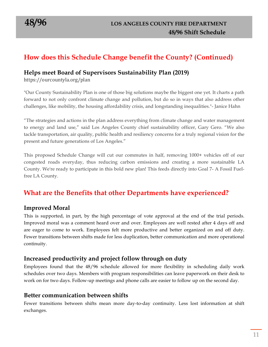## **How does this Schedule Change benefit the County? (Continued)**

#### **Helps meet Board of Supervisors Sustainability Plan (2019)**

https://ourcountyla.org/plan

"Our County Sustainability Plan is one of those big solutions maybe the biggest one yet. It charts a path forward to not only confront climate change and pollution, but do so in ways that also address other challenges, like mobility, the housing affordability crisis, and longstanding inequalities."- Janice Hahn

"The strategies and actions in the plan address everything from climate change and water management to energy and land use," said Los Angeles County chief sustainability officer, Gary Gero. "We also tackle transportation, air quality, public health and resiliency concerns for a truly regional vision for the present and future generations of Los Angeles."

This proposed Schedule Change will cut our commutes in half, removing 1000+ vehicles off of our congested roads everyday, thus reducing carbon emissions and creating a more sustainable LA County. We're ready to participate in this bold new plan! This feeds directly into Goal 7- A Fossil Fuelfree LA County.

#### **What are the Benefits that other Departments have experienced?**

#### **Improved Moral**

This is supported, in part, by the high percentage of vote approval at the end of the trial periods. Improved moral was a comment heard over and over. Employees are well rested after 4 days off and are eager to come to work. Employees felt more productive and better organized on and off duty. Fewer transitions between shifts made for less duplication, better communication and more operational continuity.

#### **Increased productivity and project follow through on duty**

Employees found that the 48/96 schedule allowed for more flexibility in scheduling daily work schedules over two days. Members with program responsibilities can leave paperwork on their desk to work on for two days. Follow-up meetings and phone calls are easier to follow up on the second day.

#### **Better communication between shifts**

Fewer transitions between shifts mean more day-to-day continuity. Less lost information at shift exchanges.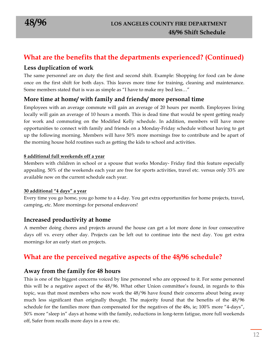#### **What are the benefits that the departments experienced? (Continued)**

#### **Less duplication of work**

The same personnel are on duty the first and second shift. Example: Shopping for food can be done once on the first shift for both days. This leaves more time for training, cleaning and maintenance. Some members stated that is was as simple as "I have to make my bed less…"

#### **More time at home/ with family and friends/ more personal time**

Employees with an average commute will gain an average of 20 hours per month. Employees living locally will gain an average of 10 hours a month. This is dead time that would be spent getting ready for work and commuting on the Modified Kelly schedule. In addition, members will have more opportunities to connect with family and friends on a Monday-Friday schedule without having to get up the following morning. Members will have 50% more mornings free to contribute and be apart of the morning house hold routines such as getting the kids to school and activities.

#### **8 additional full weekends off a year**

Members with children in school or a spouse that works Monday- Friday find this feature especially appealing. 50% of the weekends each year are free for sports activities, travel etc. versus only 33% are available now on the current schedule each year.

#### **30 additional "4 days" a year**

Every time you go home, you go home to a 4-day. You get extra opportunities for home projects, travel, camping, etc. More mornings for personal endeavors!

#### **Increased productivity at home**

A member doing chores and projects around the house can get a lot more done in four consecutive days off vs. every other day. Projects can be left out to continue into the next day. You get extra mornings for an early start on projects.

#### **What are the perceived negative aspects of the 48/96 schedule?**

#### **Away from the family for 48 hours**

This is one of the biggest concerns voiced by line personnel who are opposed to it. For some personnel this will be a negative aspect of the 48/96. What other Union committee's found, in regards to this topic, was that most members who now work the 48/96 have found their concerns about being away much less significant than originally thought. The majority found that the benefits of the 48/96 schedule for the families more than compensated for the negatives of the 48s, ie; 100% more "4-days", 50% more "sleep in" days at home with the family, reductions in long-term fatigue, more full weekends off, Safer from recalls more days in a row etc.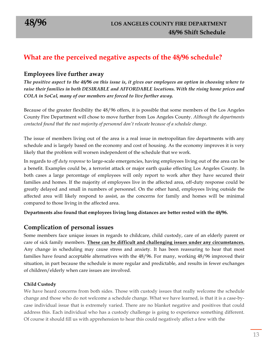#### **What are the perceived negative aspects of the 48/96 schedule?**

#### **Employees live further away**

*The positive aspect to the 48/96 on this issue is***,** *it gives our employees an option in choosing where to raise their families in both DESIRABLE and AFFORDABLE locations. With the rising home prices and COLA in SoCal, many of our members are forced to live further away.*

Because of the greater flexibility the 48/96 offers, it is possible that some members of the Los Angeles County Fire Department will chose to move further from Los Angeles County. *Although the departments contacted found that the vast majority of personnel don't relocate because of a schedule change.*

The issue of members living out of the area is a real issue in metropolitan fire departments with any schedule and is largely based on the economy and cost of housing. As the economy improves it is very likely that the problem will worsen independent of the schedule that we work.

In regards to *off duty response* to large-scale emergencies, having employees living out of the area can be a benefit. Examples could be, a terrorist attack or major earth quake effecting Los Angeles County. In both cases a large percentage of employees will only report to work after they have secured their families and homes. If the majority of employees live in the affected area, off-duty response could be greatly delayed and small in numbers of personnel. On the other hand, employees living outside the affected area will likely respond to assist, as the concerns for family and homes will be minimal compared to those living in the affected area.

**Departments also found that employees living long distances are better rested with the 48/96.**

#### **Complication of personal issues**

Some members face unique issues in regards to childcare, child custody, care of an elderly parent or care of sick family members. **These can be difficult and challenging issues under any circumstances.** Any change in scheduling may cause stress and anxiety. It has been reassuring to hear that most families have found acceptable alternatives with the 48/96. For many, working 48/96 improved their situation, in part because the schedule is more regular and predictable, and results in fewer exchanges of children/elderly when care issues are involved.

#### **Child Custody**

We have heard concerns from both sides. Those with custody issues that really welcome the schedule change and those who do not welcome a schedule change. What we have learned, is that it is a case-bycase individual issue that is extremely varied. There are no blanket negative and positives that could address this. Each individual who has a custody challenge is going to experience something different. Of course it should fill us with apprehension to hear this could negatively affect a few with the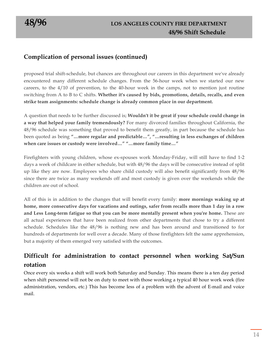#### **Complication of personal issues (continued)**

proposed trial shift-schedule, but chances are throughout our careers in this department we've already encountered many different schedule changes. From the 56-hour week when we started our new careers, to the 4/10 of prevention, to the 40-hour week in the camps, not to mention just routine switching from A to B to C shifts. **Whether it's caused by bids, promotions, details, recalls, and even strike team assignments: schedule change is already common place in our department.**

A question that needs to be further discussed is; **Wouldn't it be great if your schedule could change in a way that helped your family tremendously?** For many divorced families throughout California, the 48/96 schedule was something that proved to benefit them greatly, in part because the schedule has been quoted as being **"…more regular and predictable…", "…resulting in less exchanges of children when care issues or custody were involved…" "…more family time…"**

Firefighters with young children, whose ex-spouses work Monday-Friday, will still have to find 1-2 days a week of childcare in either schedule, but with 48/96 the days will be consecutive instead of split up like they are now. Employees who share child custody will also benefit significantly from 48/96 since there are twice as many weekends off and most custody is given over the weekends while the children are out of school.

All of this is in addition to the changes that will benefit every family: **more mornings waking up at home, more consecutive days for vacations and outings, safer from recalls more than 1 day in a row and Less Long-term fatigue so that you can be more mentally present when you're home.** These are all actual experiences that have been realized from other departments that chose to try a different schedule. Schedules like the 48/96 is nothing new and has been around and transitioned to for hundreds of departments for well over a decade. Many of those firefighters felt the same apprehension, but a majority of them emerged very satisfied with the outcomes.

#### **Difficult for administration to contact personnel when working Sat/Sun rotation**

Once every six weeks a shift will work both Saturday and Sunday. This means there is a ten day period when shift personnel will not be on duty to meet with those working a typical 40 hour work week (fire administration, vendors, etc.) This has become less of a problem with the advent of E-mail and voice mail.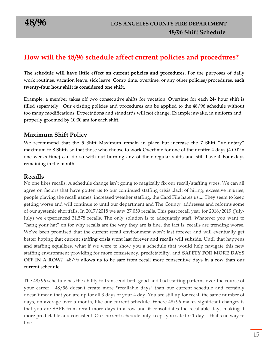### **How will the 48/96 schedule affect current policies and procedures?**

**The schedule will have little effect on current policies and procedures.** For the purposes of daily work routines, vacation leave, sick leave, Comp time, overtime, or any other policies/procedures, **each twenty-four hour shift is considered one shift.**

Example: a member takes off two consecutive shifts for vacation. Overtime for each 24- hour shift is filled separately. Our existing policies and procedures can be applied to the 48/96 schedule without too many modifications. Expectations and standards will not change. Example: awake, in uniform and properly groomed by 10:00 am for each shift.

#### **Maximum Shift Policy**

We recommend that the 5 Shift Maximum remain in place but increase the 7 Shift "Voluntary" maximum to 8 Shifts so that those who choose to work Overtime for one of their entire 4 days (4 OT in one weeks time) can do so with out burning any of their regular shifts and still have 4 Four-days remaining in the month.

#### **Recalls**

No one likes recalls. A schedule change isn't going to magically fix our recall/staffing woes. We can all agree on factors that have gotten us to our continued staffing crisis...lack of hiring, excessive injuries, people playing the recall games, increased weather staffing, the Card File hates us.....They seem to keep getting worse and will continue to until our department and The County addresses and reforms some of our systemic shortfalls. In 2017/2018 we saw 27,059 recalls. This past recall year for 2018/2019 (July-July) we experienced 31,578 recalls. The only solution is to adequately staff. Whatever you want to "hang your hat" on for why recalls are the way they are is fine, the fact is, recalls are trending worse. We've been promised that the current recall environment won't last forever and will eventually get better hoping that current staffing crisis wont last forever and recalls will subside. Until that happens and staffing equalizes, what if we were to show you a schedule that would help navigate this new staffing environment providing for more consistency, predictability, and **SAFETY FOR MORE DAYS OFF IN A ROW**? 48/96 allows us to be safe from recall more consecutive days in a row than our current schedule.

The 48/96 schedule has the ability to transcend both good and bad staffing patterns over the course of your career. 48/96 doesn't create more "recallable days" than our current schedule and certainly doesn't mean that you are up for all 3 days of your 4 day. You are still up for recall the same number of days, on average over a month, like our current schedule. Where 48/96 makes significant changes is that you are SAFE from recall more days in a row and it consolidates the recallable days making it more predictable and consistent. Our current schedule only keeps you safe for 1 day….that's no way to live.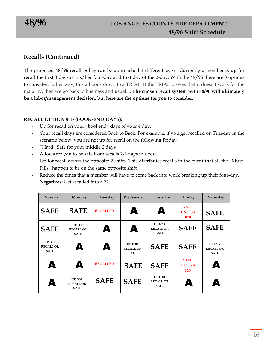#### **Recalls (Continued)**

The proposed 48/96 recall policy can be approached 3 different ways. Currently a member is up for recall the first 3 days of his/her four-day and first day of the 2-day. With the 48/96 there are 3 options to consider. Either way, this all boils down to a TRIAL. If the TRIAL proves that it doesn't work for the majority, then we go back to business and usual.... **The chosen recall system with 48/96 will ultimately be a labor/management decision, but here are the options for you to consider.**

#### **RECALL OPTION # 1- (BOOK-END DAYS):**

- Up for recall on your "bookend" days of your 4 day.
- Your recall days are considered Back to Back. For example, if you get recalled on Tuesday in the scenario below, you are not up for recall on the following Friday.
- "Hard" Safe for your middle 2 days
- Allows for you to be safe from recalls 2-3 days in a row.
- Up for recall across the opposite 2 shifts, This distributes recalls in the event that all the "Must-Fills" happen to be on the same opposite shift.
- Reduce the times that a member will have to come back into work breaking up their four-day. **Negatives:** Get recalled into a 72.

| Sunday                                           | Monday                                           | Tuesday         | Wednesday                                       | Thursday                                         | Friday                              | Saturday                                         |
|--------------------------------------------------|--------------------------------------------------|-----------------|-------------------------------------------------|--------------------------------------------------|-------------------------------------|--------------------------------------------------|
| <b>SAFE</b>                                      | <b>SAFE</b>                                      | <b>RECALLED</b> | A                                               | A                                                | <b>SAFE</b><br><b>UNLESS</b><br>B2B | <b>SAFE</b>                                      |
| <b>SAFE</b>                                      | <b>UP FOR</b><br><b>RECALL OR</b><br><b>SAFE</b> | A               | A                                               | <b>UP FOR</b><br><b>RECALL OR</b><br><b>SAFE</b> | <b>SAFE</b>                         | <b>SAFE</b>                                      |
| <b>UP FOR</b><br><b>RECALL OR</b><br><b>SAFE</b> | A                                                | A               | <b>UPFOR</b><br><b>RECALL OR</b><br><b>SAFE</b> | <b>SAFE</b>                                      | <b>SAFE</b>                         | <b>UP FOR</b><br><b>RECALL OR</b><br><b>SAFE</b> |
| A                                                | A                                                | <b>RECALLED</b> | <b>SAFE</b>                                     | <b>SAFE</b>                                      | <b>SAFE</b><br><b>UNLESS</b><br>B2B | Δ                                                |
| Д                                                | <b>UP FOR</b><br><b>RECALL OR</b><br><b>SAFE</b> | <b>SAFE</b>     | <b>SAFE</b>                                     | <b>UP FOR</b><br><b>RECALL OR</b><br><b>SAFE</b> | A                                   | Δ                                                |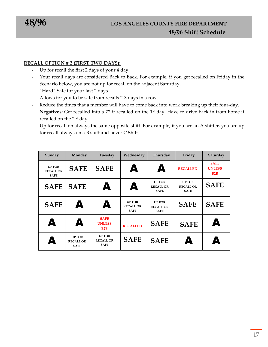#### **RECALL OPTION # 2 (FIRST TWO DAYS):**

- Up for recall the first 2 days of your 4 day.
- Your recall days are considered Back to Back. For example, if you get recalled on Friday in the Scenario below, you are not up for recall on the adjacent Saturday.
- "Hard" Safe for your last 2 days
- Allows for you to be safe from recalls 2-3 days in a row.
- Reduce the times that a member will have to come back into work breaking up their four-day. **Negatives:** Get recalled into a 72 if recalled on the 1st day. Have to drive back in from home if recalled on the 2nd day

Up for recall on always the same opposite shift. For example, if you are an A shifter, you are up for recall always on a B shift and never C Shift.

| Sunday                                           | Monday                                           | Tuesday                                          | Wednesday                                        | Thursday                                         | Friday                                           | Saturday                            |
|--------------------------------------------------|--------------------------------------------------|--------------------------------------------------|--------------------------------------------------|--------------------------------------------------|--------------------------------------------------|-------------------------------------|
| <b>UP FOR</b><br><b>RECALL OR</b><br><b>SAFE</b> | <b>SAFE</b>                                      | <b>SAFE</b>                                      | A                                                | A                                                | <b>RECALLED</b>                                  | <b>SAFE</b><br><b>UNLESS</b><br>B2B |
| <b>SAFE</b>                                      | <b>SAFE</b>                                      | A                                                | A                                                | <b>UP FOR</b><br><b>RECALL OR</b><br><b>SAFE</b> | <b>UP FOR</b><br><b>RECALL OR</b><br><b>SAFE</b> | <b>SAFE</b>                         |
| <b>SAFE</b>                                      | A                                                | A                                                | <b>UP FOR</b><br><b>RECALL OR</b><br><b>SAFE</b> | <b>UP FOR</b><br><b>RECALL OR</b><br><b>SAFE</b> | <b>SAFE</b>                                      | <b>SAFE</b>                         |
| A                                                | A                                                | <b>SAFE</b><br><b>UNLESS</b><br>B2B              | <b>RECALLED</b>                                  | <b>SAFE</b>                                      | <b>SAFE</b>                                      | Δ                                   |
| Д                                                | <b>UP FOR</b><br><b>RECALL OR</b><br><b>SAFE</b> | <b>UP FOR</b><br><b>RECALL OR</b><br><b>SAFE</b> | <b>SAFE</b>                                      | <b>SAFE</b>                                      | A                                                | Δ                                   |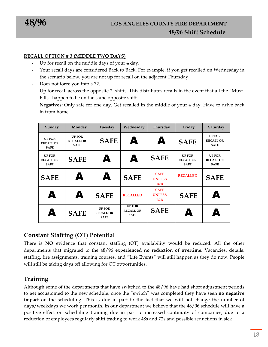#### **RECALL OPTION # 3 (MIDDLE TWO DAYS)**

- Up for recall on the middle days of your 4 day.
- Your recall days are considered Back to Back. For example, if you get recalled on Wednesday in the scenario below, you are not up for recall on the adjacent Thursday.
- Does not force you into a 72.
- Up for recall across the opposite 2 shifts, This distributes recalls in the event that all the "Must-Fills" happen to be on the same opposite shift.

**Negatives:** Only safe for one day. Get recalled in the middle of your 4 day. Have to drive back in from home.

| Sunday                                           | Monday                                           | Tuesday                                          | Wednesday                                        | Thursday                            | Friday                                           | Saturday                                         |
|--------------------------------------------------|--------------------------------------------------|--------------------------------------------------|--------------------------------------------------|-------------------------------------|--------------------------------------------------|--------------------------------------------------|
| <b>UP FOR</b><br><b>RECALL OR</b><br><b>SAFE</b> | <b>UP FOR</b><br><b>RECALL OR</b><br><b>SAFE</b> | <b>SAFE</b>                                      | A                                                | A                                   | <b>SAFE</b>                                      | <b>UP FOR</b><br><b>RECALL OR</b><br><b>SAFE</b> |
| <b>UP FOR</b><br><b>RECALL OR</b><br><b>SAFE</b> | <b>SAFE</b>                                      | A                                                | A                                                | <b>SAFE</b>                         | <b>UP FOR</b><br><b>RECALL OR</b><br><b>SAFE</b> | <b>UP FOR</b><br><b>RECALL OR</b><br><b>SAFE</b> |
| <b>SAFE</b>                                      | A                                                | A                                                | <b>SAFE</b>                                      | <b>SAFE</b><br><b>UNLESS</b><br>B2B | <b>RECALLED</b>                                  | <b>SAFE</b>                                      |
| A                                                | A                                                | <b>SAFE</b>                                      | <b>RECALLED</b>                                  | <b>SAFE</b><br><b>UNLESS</b><br>B2B | <b>SAFE</b>                                      | Δ                                                |
| Δ                                                | <b>SAFE</b>                                      | <b>UP FOR</b><br><b>RECALL OR</b><br><b>SAFE</b> | <b>UP FOR</b><br><b>RECALL OR</b><br><b>SAFE</b> | <b>SAFE</b>                         | A                                                | A                                                |

#### **Constant Staffing (OT) Potential**

There is **NO** evidence that constant staffing (OT) availability would be reduced. All the other departments that migrated to the 48/96 **experienced no reduction of overtime**. Vacancies, details, staffing, fire assignments, training courses, and "Life Events" will still happen as they do now. People will still be taking days off allowing for OT opportunities.

#### **Training**

Although some of the departments that have switched to the 48/96 have had short adjustment periods to get accustomed to the new schedule, once the "switch" was completed they have seen **no negative impact** on the scheduling. This is due in part to the fact that we will not change the number of days/weekdays we work per month. In our department we believe that the 48/96 schedule will have a positive effect on scheduling training due in part to increased continuity of companies, due to a reduction of employees regularly shift trading to work 48s and 72s and possible reductions in sick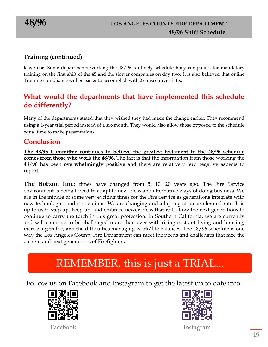#### **Training (continued)**

leave use. Some departments working the 48/96 routinely schedule busy companies for mandatory training on the first shift of the 48 and the slower companies on day two. It is also believed that online Training compliance will be easier to accomplish with 2 consecutive shifts.

### **What would the departments that have implemented this schedule do differently?**

Many of the departments stated that they wished they had made the change earlier. They recommend using a 1-year trial period instead of a six-month. They would also allow those opposed to the schedule equal time to make presentations.

#### **Conclusion**

**The 48/96 Committee continues to believe the greatest testament to the 48/96 schedule comes from those who work the 48/96.** The fact is that the information from those working the 48/96 has been **overwhelmingly positive** and there are relatively few negative aspects to report.

**The Bottom line:** times have changed from 5, 10, 20 years ago. The Fire Service environment is being forced to adapt to new ideas and alternative ways of doing business. We are in the middle of some very exciting times for the Fire Service as generations integrate with new technologies and innovations. We are changing and adapting at an accelerated rate. It is up to us to step up, keep up, and embrace newer ideas that will allow the next generations to continue to carry the torch in this great profession. In Southern California, we are currently and will continue to be challenged more than ever with rising costs of living and housing, increasing traffic, and the difficulties managing work/life balances. The 48/96 schedule is one way the Los Angeles County Fire Department can meet the needs and challenges that face the current and next generations of Firefighters.

## REMEMBER, this is just a TRIAL...

Follow us on Facebook and Instagram to get the latest up to date info:





Facebook Instagram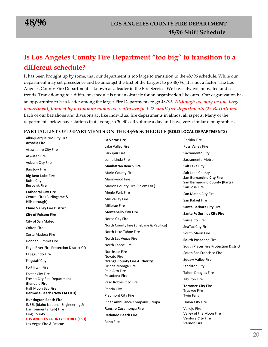## **Is Los Angeles County Fire Department "too big" to transition to a different schedule?**

It has been brought up by some, that our department is too large to transition to the 48/96 schedule. While our department may set precedence and be amongst the first of the Largest to go 48/96; it is not a factor. The Los Angeles County Fire Department is known as a leader in the Fire Service. We have always innovated and set trends. Transitioning to a different schedule is not an obstacle for an organization like ours. Our organization has an opportunity to be a leader among the larger Fire Departments to go 48/96. *Although we may be one large department, bonded by a common name, we really are just 22 small fire departments (22 Battalions).* Each of our battalions and divisions act like individual fire departments in almost all aspects. Many of the departments below have stations that average a 30-40 call volume a day and have very similar demographics.

#### **PARTIAL LIST OF DEPARTMENTS ON THE 48/96 SCHEDULE (BOLD LOCAL DEPARTMENTS)**

**La Verne Fire**

Albuquerque NM City Fire **Arcadia Fire Atascadero City Fire Atwater Fire Auburn City Fire** Barstow Fire **Big Bear Lake Fire** Boise City **Burbank Fire Cathedral City Fire** Central Fire (Burlingame & Hillsborough) **Chino Valley Fire District City of Folsom Fire** City of San Mateo Colton Fire Corte Madera Fire Donner Summit Fire Eagle River Fire Protection District CO **El Segundo Fire Flagstaff City** Fort Irwin Fire **Foster City Fire** Fresno City Fire Department **Glendale Fire** Half Moon Bay Fire **Hermosa Beach (Now LACOFD) Huntington Beach Fire** INEEL (Idaho National Engineering & Environmental Lab) Fire King County **LOS ANGELES COUNTY SHERIFF (ESD)** Las Vegas Fire & Rescue

Lake Valley Fire Larkspur Fire Loma Linda Fire **Manhattan Beach Fire Marin County Fire** Marinwood Fire Marion County Fire (Salem OR.) Menlo Park Fire **Mill Valley Fire Millbrae Fire Montebello City Fire** Norco City Fire North County Fire (Brisbane & Pacifica) North Lake Tahoe Fire North Las Vegas Fire **North Tahoe Fire** Northstar Fire **Novato Fire Orange County Fire Authority** Orinda Moraga Fire Palo Alto Fire **Pasadena Fire** Paso Robles City Fire Peoria City Piedmont City Fire Piner Ambulance Company - Napa **Rancho Cucamonga Fire Redondo Beach Fire** Reno Fire

Ross Valley Fire Sacramento City Sacramento Metro Salt Lake City Salt Lake County **San Bernardino City Fire San Bernardino County (Parts)** San Jose Fire San Mateo City Fire San Rafael Fire **Santa Barbara City Fire Santa Fe Springs City Fire** Sausalito Fire SeaTac City Fire South Marin Fire **South Pasadena Fire** South Placer Fire Protection District South San Francisco Fire Squaw Valley Fire Stockton City Tahoe Douglas Fire **Tiburon Fire Torrance City Fire**  Truckee Fire Twin Falls Union City Fire Vallejo Fire

**Rocklin Fire** 

Valley of the Moon Fire **Ventura City Fire Vernon Fire**